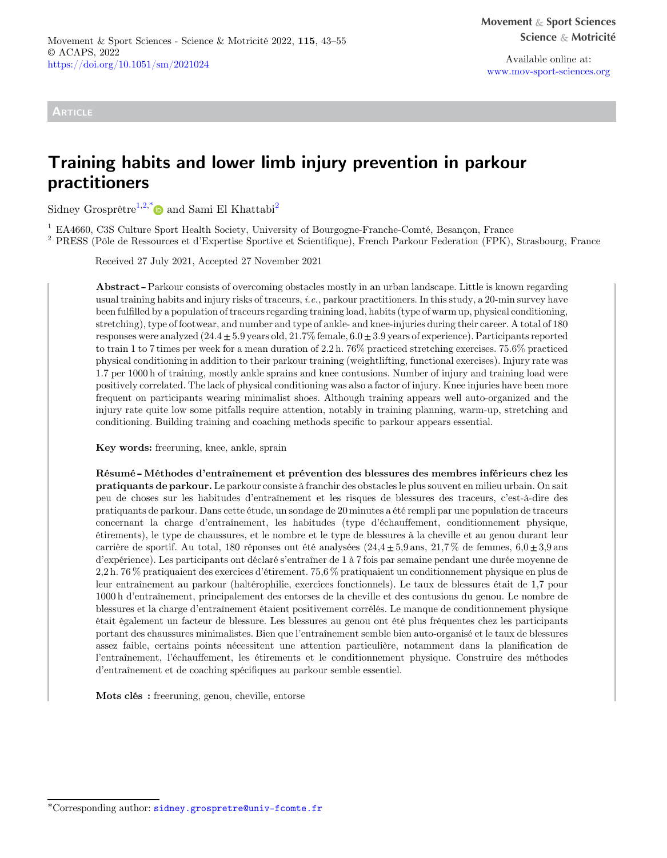Available online at: [www.mov-sport-sciences.org](https://www.mov-sport-sciences.org)

# **ARTICLE**

# Training habits and lower limb injury prevention in parkour practitioners

Sidney Grosprêtre<sup>1,2,\*</sup> $\bullet$  and Sami El Khattabi<sup>2</sup>

<sup>1</sup> EA4660, C3S Culture Sport Health Society, University of Bourgogne-Franche-Comté, Besançon, France <sup>2</sup> PRESS (Pôle de Ressources et d'Expertise Sportive et Scientifique), French Parkour Federation (FPK), Strasbourg, France

Received 27 July 2021, Accepted 27 November 2021

Abstract -- Parkour consists of overcoming obstacles mostly in an urban landscape. Little is known regarding usual training habits and injury risks of traceurs, i.e., parkour practitioners. In this study, a 20-min survey have been fulfilled by a population of traceurs regarding training load, habits (type of warm up, physical conditioning, stretching), type of footwear, and number and type of ankle- and knee-injuries during their career. A total of 180 responses were analyzed  $(24.4 \pm 5.9 \text{ years}$  old,  $21.7\%$  female,  $6.0 \pm 3.9 \text{ years}$  of experience). Participants reported to train 1 to 7 times per week for a mean duration of 2.2 h. 76% practiced stretching exercises. 75.6% practiced physical conditioning in addition to their parkour training (weightlifting, functional exercises). Injury rate was 1.7 per 1000 h of training, mostly ankle sprains and knee contusions. Number of injury and training load were positively correlated. The lack of physical conditioning was also a factor of injury. Knee injuries have been more frequent on participants wearing minimalist shoes. Although training appears well auto-organized and the injury rate quite low some pitfalls require attention, notably in training planning, warm-up, stretching and conditioning. Building training and coaching methods specific to parkour appears essential.

Key words: freeruning, knee, ankle, sprain

Résumé - Méthodes d'entraînement et prévention des blessures des membres inférieurs chez les pratiquants de parkour. Le parkour consiste à franchir des obstacles le plus souvent en milieu urbain. On sait peu de choses sur les habitudes d'entraînement et les risques de blessures des traceurs, c'est-à-dire des pratiquants de parkour. Dans cette étude, un sondage de 20 minutes a été rempli par une population de traceurs concernant la charge d'entraînement, les habitudes (type d'échauffement, conditionnement physique, étirements), le type de chaussures, et le nombre et le type de blessures à la cheville et au genou durant leur carrière de sportif. Au total, 180 réponses ont été analysées  $(24.4 \pm 5.9 \text{ ans}, 21.7\%$  de femmes,  $6.0 \pm 3.9 \text{ ans}$ d'expérience). Les participants ont déclaré s'entraîner de 1 à 7 fois par semaine pendant une durée moyenne de 2,2 h. 76 % pratiquaient des exercices d'étirement. 75,6 % pratiquaient un conditionnement physique en plus de leur entraînement au parkour (haltérophilie, exercices fonctionnels). Le taux de blessures était de 1,7 pour 1000 h d'entraînement, principalement des entorses de la cheville et des contusions du genou. Le nombre de blessures et la charge d'entraînement étaient positivement corrélés. Le manque de conditionnement physique était également un facteur de blessure. Les blessures au genou ont été plus fréquentes chez les participants portant des chaussures minimalistes. Bien que l'entraînement semble bien auto-organisé et le taux de blessures assez faible, certains points nécessitent une attention particulière, notamment dans la planification de l'entraînement, l'échauffement, les étirements et le conditionnement physique. Construire des méthodes d'entraînement et de coaching spécifiques au parkour semble essentiel.

Mots clés : freeruning, genou, cheville, entorse

<sup>\*</sup>Corresponding author: [sidney.grospretre@univ-fcomte.fr](mailto:sidney.grospretre@univ-fcomte.fr)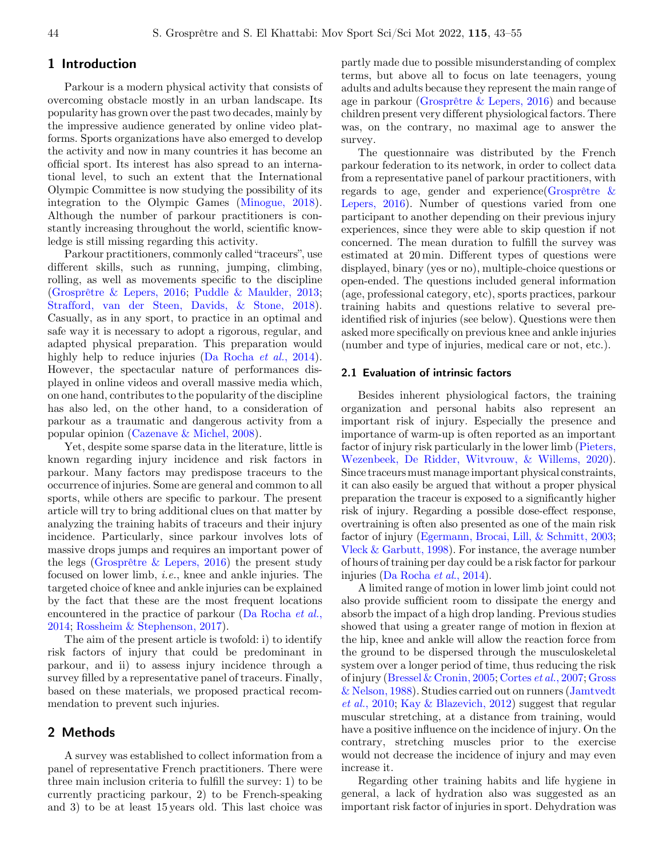# 1 Introduction

Parkour is a modern physical activity that consists of overcoming obstacle mostly in an urban landscape. Its popularity has grown over the past two decades, mainly by the impressive audience generated by online video platforms. Sports organizations have also emerged to develop the activity and now in many countries it has become an official sport. Its interest has also spread to an international level, to such an extent that the International Olympic Committee is now studying the possibility of its integration to the Olympic Games ([Minogue, 2018](#page-11-0)). Although the number of parkour practitioners is constantly increasing throughout the world, scientific knowledge is still missing regarding this activity.

Parkour practitioners, commonly called "traceurs", use different skills, such as running, jumping, climbing, rolling, as well as movements specific to the discipline [\(Grosprêtre & Lepers, 2016](#page-10-0); [Puddle & Maulder, 2013;](#page-11-0) [Strafford, van der Steen, Davids, & Stone, 2018](#page-11-0)). Casually, as in any sport, to practice in an optimal and safe way it is necessary to adopt a rigorous, regular, and adapted physical preparation. This preparation would highly help to reduce injuries [\(Da Rocha](#page-10-0) *et al.*, 2014). However, the spectacular nature of performances displayed in online videos and overall massive media which, on one hand, contributes to the popularity of the discipline has also led, on the other hand, to a consideration of parkour as a traumatic and dangerous activity from a popular opinion ([Cazenave & Michel, 2008](#page-10-0)).

Yet, despite some sparse data in the literature, little is known regarding injury incidence and risk factors in parkour. Many factors may predispose traceurs to the occurrence of injuries. Some are general and common to all sports, while others are specific to parkour. The present article will try to bring additional clues on that matter by analyzing the training habits of traceurs and their injury incidence. Particularly, since parkour involves lots of massive drops jumps and requires an important power of the legs [\(Grosprêtre & Lepers, 2016](#page-10-0)) the present study focused on lower limb, i.e., knee and ankle injuries. The targeted choice of knee and ankle injuries can be explained by the fact that these are the most frequent locations encountered in the practice of parkour ([Da Rocha](#page-10-0) et al., [2014](#page-10-0); [Rossheim & Stephenson, 2017](#page-11-0)).

The aim of the present article is twofold: i) to identify risk factors of injury that could be predominant in parkour, and ii) to assess injury incidence through a survey filled by a representative panel of traceurs. Finally, based on these materials, we proposed practical recommendation to prevent such injuries.

# 2 Methods

A survey was established to collect information from a panel of representative French practitioners. There were three main inclusion criteria to fulfill the survey: 1) to be currently practicing parkour, 2) to be French-speaking and 3) to be at least 15 years old. This last choice was partly made due to possible misunderstanding of complex terms, but above all to focus on late teenagers, young adults and adults because they represent the main range of age in parkour [\(Grosprêtre & Lepers, 2016](#page-10-0)) and because children present very different physiological factors. There was, on the contrary, no maximal age to answer the survey.

The questionnaire was distributed by the French parkour federation to its network, in order to collect data from a representative panel of parkour practitioners, with regards to age, gender and experience([Grosprêtre &](#page-10-0) [Lepers, 2016\)](#page-10-0). Number of questions varied from one participant to another depending on their previous injury experiences, since they were able to skip question if not concerned. The mean duration to fulfill the survey was estimated at 20 min. Different types of questions were displayed, binary (yes or no), multiple-choice questions or open-ended. The questions included general information (age, professional category, etc), sports practices, parkour training habits and questions relative to several preidentified risk of injuries (see below). Questions were then asked more specifically on previous knee and ankle injuries (number and type of injuries, medical care or not, etc.).

## 2.1 Evaluation of intrinsic factors

Besides inherent physiological factors, the training organization and personal habits also represent an important risk of injury. Especially the presence and importance of warm-up is often reported as an important factor of injury risk particularly in the lower limb [\(Pieters,](#page-11-0) [Wezenbeek, De Ridder, Witvrouw, & Willems, 2020](#page-11-0)). Since traceurs must manage important physical constraints, it can also easily be argued that without a proper physical preparation the traceur is exposed to a significantly higher risk of injury. Regarding a possible dose-effect response, overtraining is often also presented as one of the main risk factor of injury [\(Egermann, Brocai, Lill, & Schmitt, 2003](#page-10-0); [Vleck & Garbutt, 1998](#page-11-0)). For instance, the average number of hours of training per day could be a risk factor for parkour injuries [\(Da Rocha](#page-10-0) et al., 2014).

A limited range of motion in lower limb joint could not also provide sufficient room to dissipate the energy and absorb the impact of a high drop landing. Previous studies showed that using a greater range of motion in flexion at the hip, knee and ankle will allow the reaction force from the ground to be dispersed through the musculoskeletal system over a longer period of time, thus reducing the risk of injury ([Bressel & Cronin, 2005;](#page-10-0) [Cortes](#page-10-0) et al., 2007; [Gross](#page-10-0) [& Nelson, 1988\)](#page-10-0). Studies carried out on runners ([Jamtvedt](#page-10-0) et al.[, 2010;](#page-10-0) [Kay & Blazevich, 2012\)](#page-11-0) suggest that regular muscular stretching, at a distance from training, would have a positive influence on the incidence of injury. On the contrary, stretching muscles prior to the exercise would not decrease the incidence of injury and may even increase it.

Regarding other training habits and life hygiene in general, a lack of hydration also was suggested as an important risk factor of injuries in sport. Dehydration was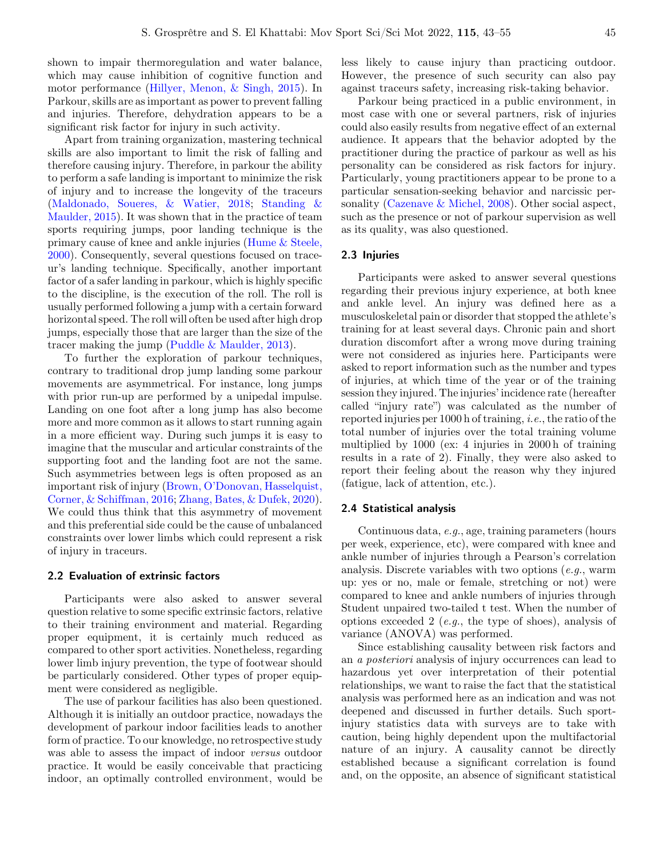shown to impair thermoregulation and water balance, which may cause inhibition of cognitive function and motor performance ([Hillyer, Menon, & Singh, 2015](#page-10-0)). In Parkour, skills are as important as power to prevent falling and injuries. Therefore, dehydration appears to be a significant risk factor for injury in such activity.

Apart from training organization, mastering technical skills are also important to limit the risk of falling and therefore causing injury. Therefore, in parkour the ability to perform a safe landing is important to minimize the risk of injury and to increase the longevity of the traceurs [\(Maldonado, Soueres, & Watier, 2018;](#page-11-0) [Standing &](#page-11-0) [Maulder, 2015\)](#page-11-0). It was shown that in the practice of team sports requiring jumps, poor landing technique is the primary cause of knee and ankle injuries ([Hume & Steele,](#page-10-0) [2000](#page-10-0)). Consequently, several questions focused on traceur's landing technique. Specifically, another important factor of a safer landing in parkour, which is highly specific to the discipline, is the execution of the roll. The roll is usually performed following a jump with a certain forward horizontal speed. The roll will often be used after high drop jumps, especially those that are larger than the size of the tracer making the jump ([Puddle & Maulder, 2013](#page-11-0)).

To further the exploration of parkour techniques, contrary to traditional drop jump landing some parkour movements are asymmetrical. For instance, long jumps with prior run-up are performed by a unipedal impulse. Landing on one foot after a long jump has also become more and more common as it allows to start running again in a more efficient way. During such jumps it is easy to imagine that the muscular and articular constraints of the supporting foot and the landing foot are not the same. Such asymmetries between legs is often proposed as an important risk of injury (Brown, O'[Donovan, Hasselquist,](#page-10-0) [Corner, & Schiffman, 2016;](#page-10-0) [Zhang, Bates, & Dufek, 2020](#page-12-0)). We could thus think that this asymmetry of movement and this preferential side could be the cause of unbalanced constraints over lower limbs which could represent a risk of injury in traceurs.

## 2.2 Evaluation of extrinsic factors

Participants were also asked to answer several question relative to some specific extrinsic factors, relative to their training environment and material. Regarding proper equipment, it is certainly much reduced as compared to other sport activities. Nonetheless, regarding lower limb injury prevention, the type of footwear should be particularly considered. Other types of proper equipment were considered as negligible.

The use of parkour facilities has also been questioned. Although it is initially an outdoor practice, nowadays the development of parkour indoor facilities leads to another form of practice. To our knowledge, no retrospective study was able to assess the impact of indoor versus outdoor practice. It would be easily conceivable that practicing indoor, an optimally controlled environment, would be less likely to cause injury than practicing outdoor. However, the presence of such security can also pay against traceurs safety, increasing risk-taking behavior.

Parkour being practiced in a public environment, in most case with one or several partners, risk of injuries could also easily results from negative effect of an external audience. It appears that the behavior adopted by the practitioner during the practice of parkour as well as his personality can be considered as risk factors for injury. Particularly, young practitioners appear to be prone to a particular sensation-seeking behavior and narcissic personality ([Cazenave & Michel, 2008](#page-10-0)). Other social aspect, such as the presence or not of parkour supervision as well as its quality, was also questioned.

## 2.3 Injuries

Participants were asked to answer several questions regarding their previous injury experience, at both knee and ankle level. An injury was defined here as a musculoskeletal pain or disorder that stopped the athlete's training for at least several days. Chronic pain and short duration discomfort after a wrong move during training were not considered as injuries here. Participants were asked to report information such as the number and types of injuries, at which time of the year or of the training session they injured. The injuries' incidence rate (hereafter called "injury rate") was calculated as the number of reported injuries per 1000 h of training, i.e., the ratio of the total number of injuries over the total training volume multiplied by 1000 (ex: 4 injuries in 2000 h of training results in a rate of 2). Finally, they were also asked to report their feeling about the reason why they injured (fatigue, lack of attention, etc.).

## 2.4 Statistical analysis

Continuous data, e.g., age, training parameters (hours per week, experience, etc), were compared with knee and ankle number of injuries through a Pearson's correlation analysis. Discrete variables with two options  $(e.g., \text{warm})$ up: yes or no, male or female, stretching or not) were compared to knee and ankle numbers of injuries through Student unpaired two-tailed t test. When the number of options exceeded 2 (e.g., the type of shoes), analysis of variance (ANOVA) was performed.

Since establishing causality between risk factors and an a posteriori analysis of injury occurrences can lead to hazardous yet over interpretation of their potential relationships, we want to raise the fact that the statistical analysis was performed here as an indication and was not deepened and discussed in further details. Such sportinjury statistics data with surveys are to take with caution, being highly dependent upon the multifactorial nature of an injury. A causality cannot be directly established because a significant correlation is found and, on the opposite, an absence of significant statistical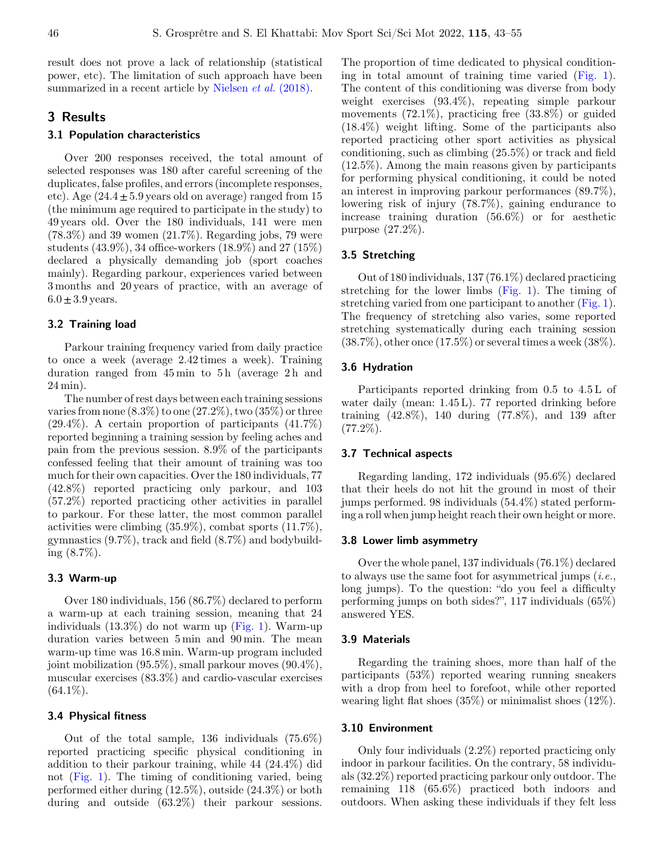result does not prove a lack of relationship (statistical power, etc). The limitation of such approach have been summarized in a recent article by [Nielsen](#page-11-0) *et al.* (2018).

# 3 Results

## 3.1 Population characteristics

Over 200 responses received, the total amount of selected responses was 180 after careful screening of the duplicates, false profiles, and errors (incomplete responses, etc). Age  $(24.4 \pm 5.9$  years old on average) ranged from 15 (the minimum age required to participate in the study) to 49 years old. Over the 180 individuals, 141 were men  $(78.3\%)$  and 39 women  $(21.7\%)$ . Regarding jobs, 79 were students (43.9%), 34 office-workers (18.9%) and 27 (15%) declared a physically demanding job (sport coaches mainly). Regarding parkour, experiences varied between 3 months and 20 years of practice, with an average of  $6.0 \pm 3.9$  years.

#### 3.2 Training load

Parkour training frequency varied from daily practice to once a week (average 2.42 times a week). Training duration ranged from 45 min to 5h (average 2h and 24 min).

The number of rest days between each training sessions varies from none  $(8.3\%)$  to one  $(27.2\%)$ , two  $(35\%)$  or three (29.4%). A certain proportion of participants (41.7%) reported beginning a training session by feeling aches and pain from the previous session. 8.9% of the participants confessed feeling that their amount of training was too much for their own capacities. Over the 180 individuals, 77 (42.8%) reported practicing only parkour, and 103 (57.2%) reported practicing other activities in parallel to parkour. For these latter, the most common parallel activities were climbing (35.9%), combat sports (11.7%), gymnastics (9.7%), track and field (8.7%) and bodybuilding (8.7%).

## 3.3 Warm-up

Over 180 individuals, 156 (86.7%) declared to perform a warm-up at each training session, meaning that 24 individuals (13.3%) do not warm up ([Fig. 1\)](#page-4-0). Warm-up duration varies between 5 min and 90 min. The mean warm-up time was 16.8 min. Warm-up program included joint mobilization (95.5%), small parkour moves (90.4%), muscular exercises (83.3%) and cardio-vascular exercises  $(64.1\%).$ 

## 3.4 Physical fitness

Out of the total sample, 136 individuals (75.6%) reported practicing specific physical conditioning in addition to their parkour training, while 44 (24.4%) did not ([Fig. 1](#page-4-0)). The timing of conditioning varied, being performed either during (12.5%), outside (24.3%) or both during and outside (63.2%) their parkour sessions.

The proportion of time dedicated to physical conditioning in total amount of training time varied ([Fig. 1](#page-4-0)). The content of this conditioning was diverse from body weight exercises (93.4%), repeating simple parkour movements (72.1%), practicing free (33.8%) or guided (18.4%) weight lifting. Some of the participants also reported practicing other sport activities as physical conditioning, such as climbing (25.5%) or track and field (12.5%). Among the main reasons given by participants for performing physical conditioning, it could be noted an interest in improving parkour performances (89.7%), lowering risk of injury (78.7%), gaining endurance to increase training duration (56.6%) or for aesthetic purpose (27.2%).

## 3.5 Stretching

Out of 180 individuals, 137 (76.1%) declared practicing stretching for the lower limbs [\(Fig. 1](#page-4-0)). The timing of stretching varied from one participant to another [\(Fig. 1](#page-4-0)). The frequency of stretching also varies, some reported stretching systematically during each training session  $(38.7\%)$ , other once  $(17.5\%)$  or several times a week  $(38\%)$ .

## 3.6 Hydration

Participants reported drinking from 0.5 to 4.5 L of water daily (mean: 1.45 L). 77 reported drinking before training (42.8%), 140 during (77.8%), and 139 after  $(77.2\%).$ 

#### 3.7 Technical aspects

Regarding landing, 172 individuals (95.6%) declared that their heels do not hit the ground in most of their jumps performed. 98 individuals (54.4%) stated performing a roll when jump height reach their own height or more.

#### 3.8 Lower limb asymmetry

Over the whole panel, 137 individuals (76.1%) declared to always use the same foot for asymmetrical jumps  $(i.e.,$ long jumps). To the question: "do you feel a difficulty performing jumps on both sides?", 117 individuals (65%) answered YES.

#### 3.9 Materials

Regarding the training shoes, more than half of the participants (53%) reported wearing running sneakers with a drop from heel to forefoot, while other reported wearing light flat shoes (35%) or minimalist shoes (12%).

#### 3.10 Environment

Only four individuals (2.2%) reported practicing only indoor in parkour facilities. On the contrary, 58 individuals (32.2%) reported practicing parkour only outdoor. The remaining 118 (65.6%) practiced both indoors and outdoors. When asking these individuals if they felt less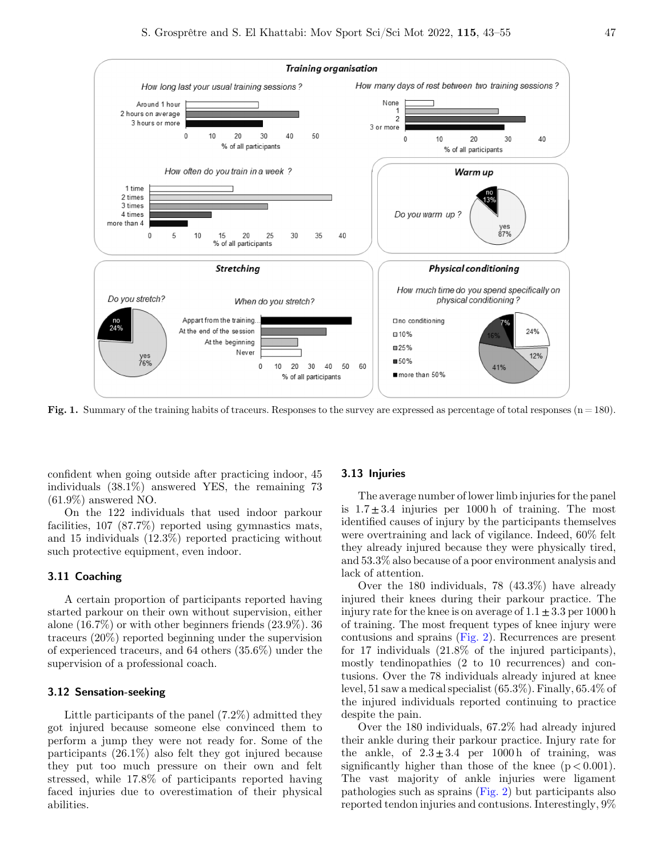<span id="page-4-0"></span>

Fig. 1. Summary of the training habits of traceurs. Responses to the survey are expressed as percentage of total responses  $(n = 180)$ .

confident when going outside after practicing indoor, 45 individuals (38.1%) answered YES, the remaining 73  $(61.9\%)$  answered NO.

On the 122 individuals that used indoor parkour facilities, 107 (87.7%) reported using gymnastics mats, and 15 individuals (12.3%) reported practicing without such protective equipment, even indoor.

#### 3.11 Coaching

A certain proportion of participants reported having started parkour on their own without supervision, either alone (16.7%) or with other beginners friends (23.9%). 36 traceurs (20%) reported beginning under the supervision of experienced traceurs, and 64 others (35.6%) under the supervision of a professional coach.

## 3.12 Sensation-seeking

Little participants of the panel (7.2%) admitted they got injured because someone else convinced them to perform a jump they were not ready for. Some of the participants (26.1%) also felt they got injured because they put too much pressure on their own and felt stressed, while 17.8% of participants reported having faced injuries due to overestimation of their physical abilities.

#### 3.13 Injuries

The average number of lower limb injuries for the panel is  $1.7 \pm 3.4$  injuries per 1000 h of training. The most identified causes of injury by the participants themselves were overtraining and lack of vigilance. Indeed, 60% felt they already injured because they were physically tired, and 53.3% also because of a poor environment analysis and lack of attention.

Over the 180 individuals, 78 (43.3%) have already injured their knees during their parkour practice. The injury rate for the knee is on average of  $1.1 \pm 3.3$  per 1000 h of training. The most frequent types of knee injury were contusions and sprains ([Fig. 2](#page-5-0)). Recurrences are present for 17 individuals (21.8% of the injured participants), mostly tendinopathies (2 to 10 recurrences) and contusions. Over the 78 individuals already injured at knee level, 51 saw a medical specialist (65.3%). Finally, 65.4% of the injured individuals reported continuing to practice despite the pain.

Over the 180 individuals, 67.2% had already injured their ankle during their parkour practice. Injury rate for the ankle, of  $2.3 \pm 3.4$  per 1000 h of training, was significantly higher than those of the knee  $(p < 0.001)$ . The vast majority of ankle injuries were ligament pathologies such as sprains [\(Fig. 2](#page-5-0)) but participants also reported tendon injuries and contusions. Interestingly, 9%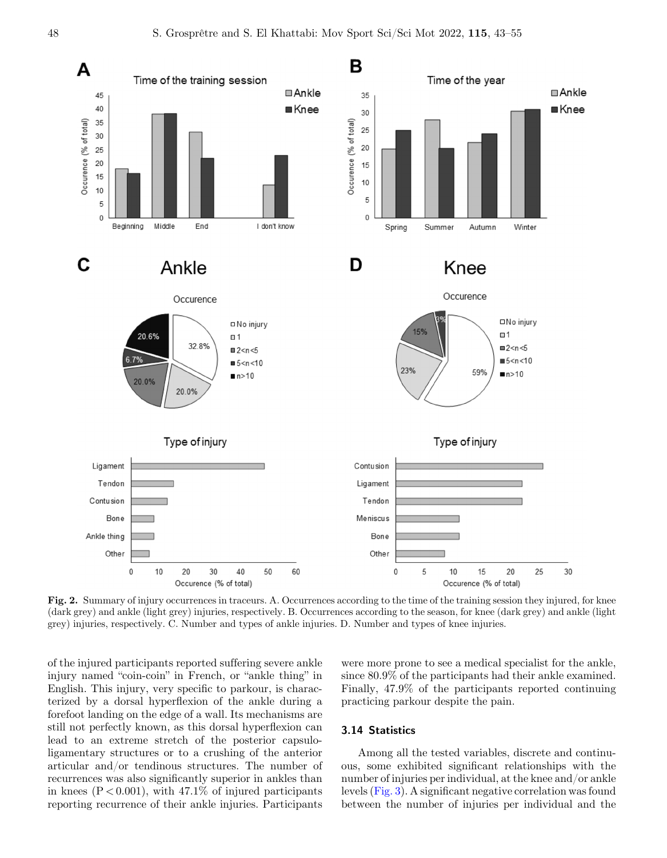<span id="page-5-0"></span>

Fig. 2. Summary of injury occurrences in traceurs. A. Occurrences according to the time of the training session they injured, for knee (dark grey) and ankle (light grey) injuries, respectively. B. Occurrences according to the season, for knee (dark grey) and ankle (light grey) injuries, respectively. C. Number and types of ankle injuries. D. Number and types of knee injuries.

of the injured participants reported suffering severe ankle injury named "coin-coin" in French, or "ankle thing" in English. This injury, very specific to parkour, is characterized by a dorsal hyperflexion of the ankle during a forefoot landing on the edge of a wall. Its mechanisms are still not perfectly known, as this dorsal hyperflexion can lead to an extreme stretch of the posterior capsuloligamentary structures or to a crushing of the anterior articular and/or tendinous structures. The number of recurrences was also significantly superior in ankles than in knees  $(P < 0.001)$ , with 47.1% of injured participants reporting recurrence of their ankle injuries. Participants were more prone to see a medical specialist for the ankle, since 80.9% of the participants had their ankle examined. Finally, 47.9% of the participants reported continuing practicing parkour despite the pain.

# 3.14 Statistics

Among all the tested variables, discrete and continuous, some exhibited significant relationships with the number of injuries per individual, at the knee and/or ankle levels ([Fig. 3\)](#page-6-0). A significant negative correlation was found between the number of injuries per individual and the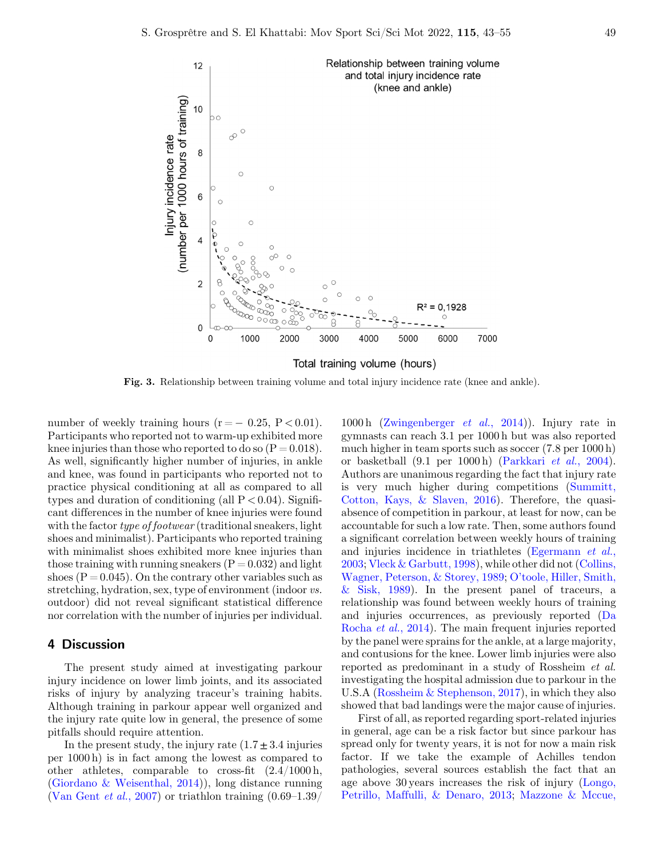<span id="page-6-0"></span>

Fig. 3. Relationship between training volume and total injury incidence rate (knee and ankle).

number of weekly training hours ( $r = -0.25$ ,  $P < 0.01$ ). Participants who reported not to warm-up exhibited more knee injuries than those who reported to do so  $(P = 0.018)$ . As well, significantly higher number of injuries, in ankle and knee, was found in participants who reported not to practice physical conditioning at all as compared to all types and duration of conditioning (all  $P < 0.04$ ). Significant differences in the number of knee injuries were found with the factor type of footwear (traditional sneakers, light shoes and minimalist). Participants who reported training with minimalist shoes exhibited more knee injuries than those training with running sneakers  $(P = 0.032)$  and light shoes  $(P = 0.045)$ . On the contrary other variables such as stretching, hydration, sex, type of environment (indoor vs. outdoor) did not reveal significant statistical difference nor correlation with the number of injuries per individual.

# 4 Discussion

The present study aimed at investigating parkour injury incidence on lower limb joints, and its associated risks of injury by analyzing traceur's training habits. Although training in parkour appear well organized and the injury rate quite low in general, the presence of some pitfalls should require attention.

In the present study, the injury rate  $(1.7 \pm 3.4$  injuries per 1000 h) is in fact among the lowest as compared to other athletes, comparable to cross-fit  $(2.4/1000 h,$ [\(Giordano & Weisenthal, 2014\)](#page-10-0)), long distance running [\(Van Gent](#page-11-0) *et al.*, 2007) or triathlon training  $(0.69-1.39)$ 

1000 h [\(Zwingenberger](#page-12-0) et al., 2014)). Injury rate in gymnasts can reach 3.1 per 1000 h but was also reported much higher in team sports such as soccer (7.8 per 1000 h) or basketball (9.1 per 1000 h) ([Parkkari](#page-11-0) et al., 2004). Authors are unanimous regarding the fact that injury rate is very much higher during competitions ([Summitt,](#page-11-0) [Cotton, Kays, & Slaven, 2016\)](#page-11-0). Therefore, the quasiabsence of competition in parkour, at least for now, can be accountable for such a low rate. Then, some authors found a significant correlation between weekly hours of training and injuries incidence in triathletes [\(Egermann](#page-10-0) et al., [2003;](#page-10-0) [Vleck & Garbutt, 1998\)](#page-11-0), while other did not [\(Collins,](#page-10-0) [Wagner, Peterson, & Storey, 1989](#page-10-0); O'[toole, Hiller, Smith,](#page-11-0) [& Sisk, 1989](#page-11-0)). In the present panel of traceurs, a relationship was found between weekly hours of training and injuries occurrences, as previously reported [\(Da](#page-10-0) [Rocha](#page-10-0) et al., 2014). The main frequent injuries reported by the panel were sprains for the ankle, at a large majority, and contusions for the knee. Lower limb injuries were also reported as predominant in a study of Rossheim et al. investigating the hospital admission due to parkour in the U.S.A ([Rossheim & Stephenson, 2017\)](#page-11-0), in which they also showed that bad landings were the major cause of injuries.

First of all, as reported regarding sport-related injuries in general, age can be a risk factor but since parkour has spread only for twenty years, it is not for now a main risk factor. If we take the example of Achilles tendon pathologies, several sources establish the fact that an age above 30 years increases the risk of injury [\(Longo,](#page-11-0) [Petrillo, Maffulli, & Denaro, 2013;](#page-11-0) [Mazzone & Mccue,](#page-11-0)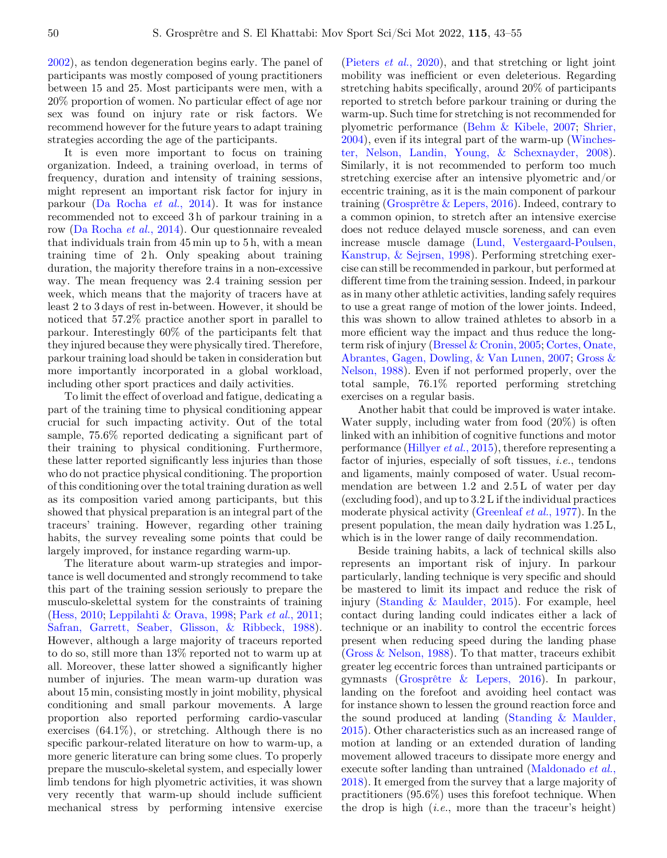[2002](#page-11-0)), as tendon degeneration begins early. The panel of participants was mostly composed of young practitioners between 15 and 25. Most participants were men, with a 20% proportion of women. No particular effect of age nor sex was found on injury rate or risk factors. We recommend however for the future years to adapt training strategies according the age of the participants.

It is even more important to focus on training organization. Indeed, a training overload, in terms of frequency, duration and intensity of training sessions, might represent an important risk factor for injury in parkour ([Da Rocha](#page-10-0) et al., 2014). It was for instance recommended not to exceed 3 h of parkour training in a row ([Da Rocha](#page-10-0) et al., 2014). Our questionnaire revealed that individuals train from 45 min up to 5 h, with a mean training time of 2h. Only speaking about training duration, the majority therefore trains in a non-excessive way. The mean frequency was 2.4 training session per week, which means that the majority of tracers have at least 2 to 3 days of rest in-between. However, it should be noticed that 57.2% practice another sport in parallel to parkour. Interestingly 60% of the participants felt that they injured because they were physically tired. Therefore, parkour training load should be taken in consideration but more importantly incorporated in a global workload, including other sport practices and daily activities.

To limit the effect of overload and fatigue, dedicating a part of the training time to physical conditioning appear crucial for such impacting activity. Out of the total sample, 75.6% reported dedicating a significant part of their training to physical conditioning. Furthermore, these latter reported significantly less injuries than those who do not practice physical conditioning. The proportion of this conditioning over the total training duration as well as its composition varied among participants, but this showed that physical preparation is an integral part of the traceurs' training. However, regarding other training habits, the survey revealing some points that could be largely improved, for instance regarding warm-up.

The literature about warm-up strategies and importance is well documented and strongly recommend to take this part of the training session seriously to prepare the musculo-skelettal system for the constraints of training [\(Hess, 2010;](#page-10-0) [Leppilahti & Orava, 1998](#page-11-0); Park et al.[, 2011;](#page-11-0) [Safran, Garrett, Seaber, Glisson, & Ribbeck, 1988](#page-11-0)). However, although a large majority of traceurs reported to do so, still more than 13% reported not to warm up at all. Moreover, these latter showed a significantly higher number of injuries. The mean warm-up duration was about 15 min, consisting mostly in joint mobility, physical conditioning and small parkour movements. A large proportion also reported performing cardio-vascular exercises  $(64.1\%)$ , or stretching. Although there is no specific parkour-related literature on how to warm-up, a more generic literature can bring some clues. To properly prepare the musculo-skeletal system, and especially lower limb tendons for high plyometric activities, it was shown very recently that warm-up should include sufficient mechanical stress by performing intensive exercise

([Pieters](#page-11-0) et al., 2020), and that stretching or light joint mobility was inefficient or even deleterious. Regarding stretching habits specifically, around 20% of participants reported to stretch before parkour training or during the warm-up. Such time for stretching is not recommended for plyometric performance [\(Behm & Kibele, 2007;](#page-10-0) [Shrier,](#page-11-0) [2004\)](#page-11-0), even if its integral part of the warm-up ([Winches](#page-11-0)[ter, Nelson, Landin, Young, & Schexnayder, 2008](#page-11-0)). Similarly, it is not recommended to perform too much stretching exercise after an intensive plyometric and/or eccentric training, as it is the main component of parkour training [\(Grosprêtre & Lepers, 2016](#page-10-0)). Indeed, contrary to a common opinion, to stretch after an intensive exercise does not reduce delayed muscle soreness, and can even increase muscle damage [\(Lund, Vestergaard-Poulsen,](#page-11-0) [Kanstrup, & Sejrsen, 1998\)](#page-11-0). Performing stretching exercise can still be recommended in parkour, but performed at different time from the training session. Indeed, in parkour as in many other athletic activities, landing safely requires to use a great range of motion of the lower joints. Indeed, this was shown to allow trained athletes to absorb in a more efficient way the impact and thus reduce the longterm risk of injury ([Bressel & Cronin, 2005;](#page-10-0) [Cortes, Onate,](#page-10-0) [Abrantes, Gagen, Dowling, & Van Lunen, 2007](#page-10-0); [Gross &](#page-10-0) [Nelson, 1988](#page-10-0)). Even if not performed properly, over the total sample, 76.1% reported performing stretching exercises on a regular basis.

Another habit that could be improved is water intake. Water supply, including water from food (20%) is often linked with an inhibition of cognitive functions and motor performance ([Hillyer](#page-10-0) et al., 2015), therefore representing a factor of injuries, especially of soft tissues, i.e., tendons and ligaments, mainly composed of water. Usual recommendation are between 1.2 and 2.5 L of water per day (excluding food), and up to 3.2 L if the individual practices moderate physical activity ([Greenleaf](#page-10-0) et al., 1977). In the present population, the mean daily hydration was 1.25 L, which is in the lower range of daily recommendation.

Beside training habits, a lack of technical skills also represents an important risk of injury. In parkour particularly, landing technique is very specific and should be mastered to limit its impact and reduce the risk of injury [\(Standing & Maulder, 2015](#page-11-0)). For example, heel contact during landing could indicates either a lack of technique or an inability to control the eccentric forces present when reducing speed during the landing phase ([Gross & Nelson, 1988](#page-10-0)). To that matter, traceurs exhibit greater leg eccentric forces than untrained participants or gymnasts [\(Grosprêtre & Lepers, 2016](#page-10-0)). In parkour, landing on the forefoot and avoiding heel contact was for instance shown to lessen the ground reaction force and the sound produced at landing [\(Standing & Maulder,](#page-11-0) [2015\)](#page-11-0). Other characteristics such as an increased range of motion at landing or an extended duration of landing movement allowed traceurs to dissipate more energy and execute softer landing than untrained [\(Maldonado](#page-11-0) et al., [2018\)](#page-11-0). It emerged from the survey that a large majority of practitioners (95.6%) uses this forefoot technique. When the drop is high  $(i.e.,$  more than the traceur's height)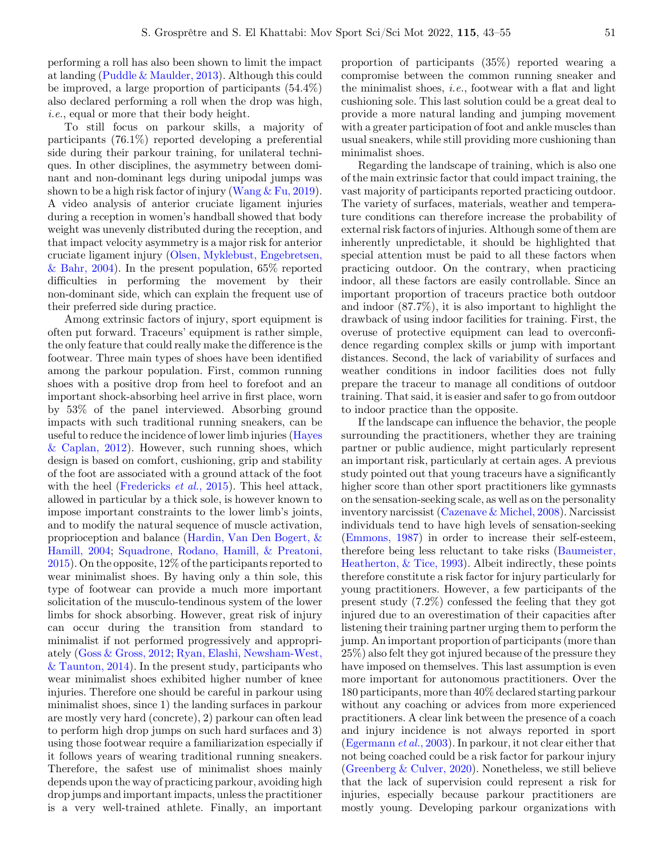performing a roll has also been shown to limit the impact at landing [\(Puddle & Maulder, 2013\)](#page-11-0). Although this could be improved, a large proportion of participants (54.4%) also declared performing a roll when the drop was high, i.e., equal or more that their body height.

To still focus on parkour skills, a majority of participants (76.1%) reported developing a preferential side during their parkour training, for unilateral techniques. In other disciplines, the asymmetry between dominant and non-dominant legs during unipodal jumps was shown to be a high risk factor of injury (Wang  $& \text{Fu}, 2019$ ). A video analysis of anterior cruciate ligament injuries during a reception in women's handball showed that body weight was unevenly distributed during the reception, and that impact velocity asymmetry is a major risk for anterior cruciate ligament injury ([Olsen, Myklebust, Engebretsen,](#page-11-0)  $\&$  Bahr, 2004). In the present population, 65% reported difficulties in performing the movement by their non-dominant side, which can explain the frequent use of their preferred side during practice.

Among extrinsic factors of injury, sport equipment is often put forward. Traceurs' equipment is rather simple, the only feature that could really make the difference is the footwear. Three main types of shoes have been identified among the parkour population. First, common running shoes with a positive drop from heel to forefoot and an important shock-absorbing heel arrive in first place, worn by 53% of the panel interviewed. Absorbing ground impacts with such traditional running sneakers, can be useful to reduce the incidence of lower limb injuries ([Hayes](#page-10-0) [& Caplan, 2012](#page-10-0)). However, such running shoes, which design is based on comfort, cushioning, grip and stability of the foot are associated with a ground attack of the foot with the heel [\(Fredericks](#page-10-0)  $et$  al., 2015). This heel attack, allowed in particular by a thick sole, is however known to impose important constraints to the lower limb's joints, and to modify the natural sequence of muscle activation, proprioception and balance [\(Hardin, Van Den Bogert, &](#page-10-0) [Hamill, 2004;](#page-10-0) [Squadrone, Rodano, Hamill, & Preatoni,](#page-11-0) [2015](#page-11-0)). On the opposite, 12% of the participants reported to wear minimalist shoes. By having only a thin sole, this type of footwear can provide a much more important solicitation of the musculo-tendinous system of the lower limbs for shock absorbing. However, great risk of injury can occur during the transition from standard to minimalist if not performed progressively and appropriately ([Goss & Gross, 2012](#page-10-0); [Ryan, Elashi, Newsham-West,](#page-11-0) [& Taunton, 2014](#page-11-0)). In the present study, participants who wear minimalist shoes exhibited higher number of knee injuries. Therefore one should be careful in parkour using minimalist shoes, since 1) the landing surfaces in parkour are mostly very hard (concrete), 2) parkour can often lead to perform high drop jumps on such hard surfaces and 3) using those footwear require a familiarization especially if it follows years of wearing traditional running sneakers. Therefore, the safest use of minimalist shoes mainly depends upon the way of practicing parkour, avoiding high drop jumps and important impacts, unless the practitioner is a very well-trained athlete. Finally, an important proportion of participants (35%) reported wearing a compromise between the common running sneaker and the minimalist shoes, i.e., footwear with a flat and light cushioning sole. This last solution could be a great deal to provide a more natural landing and jumping movement with a greater participation of foot and ankle muscles than usual sneakers, while still providing more cushioning than minimalist shoes.

Regarding the landscape of training, which is also one of the main extrinsic factor that could impact training, the vast majority of participants reported practicing outdoor. The variety of surfaces, materials, weather and temperature conditions can therefore increase the probability of external risk factors of injuries. Although some of them are inherently unpredictable, it should be highlighted that special attention must be paid to all these factors when practicing outdoor. On the contrary, when practicing indoor, all these factors are easily controllable. Since an important proportion of traceurs practice both outdoor and indoor (87.7%), it is also important to highlight the drawback of using indoor facilities for training. First, the overuse of protective equipment can lead to overconfidence regarding complex skills or jump with important distances. Second, the lack of variability of surfaces and weather conditions in indoor facilities does not fully prepare the traceur to manage all conditions of outdoor training. That said, it is easier and safer to go from outdoor to indoor practice than the opposite.

If the landscape can influence the behavior, the people surrounding the practitioners, whether they are training partner or public audience, might particularly represent an important risk, particularly at certain ages. A previous study pointed out that young traceurs have a significantly higher score than other sport practitioners like gymnasts on the sensation-seeking scale, as well as on the personality inventory narcissist ([Cazenave & Michel, 2008\)](#page-10-0). Narcissist individuals tend to have high levels of sensation-seeking ([Emmons, 1987\)](#page-10-0) in order to increase their self-esteem, therefore being less reluctant to take risks ([Baumeister,](#page-10-0) [Heatherton, & Tice, 1993](#page-10-0)). Albeit indirectly, these points therefore constitute a risk factor for injury particularly for young practitioners. However, a few participants of the present study (7.2%) confessed the feeling that they got injured due to an overestimation of their capacities after listening their training partner urging them to perform the jump. An important proportion of participants (more than 25%) also felt they got injured because of the pressure they have imposed on themselves. This last assumption is even more important for autonomous practitioners. Over the 180 participants, more than 40% declared starting parkour without any coaching or advices from more experienced practitioners. A clear link between the presence of a coach and injury incidence is not always reported in sport ([Egermann](#page-10-0) et al., 2003). In parkour, it not clear either that not being coached could be a risk factor for parkour injury ([Greenberg & Culver, 2020](#page-10-0)). Nonetheless, we still believe that the lack of supervision could represent a risk for injuries, especially because parkour practitioners are mostly young. Developing parkour organizations with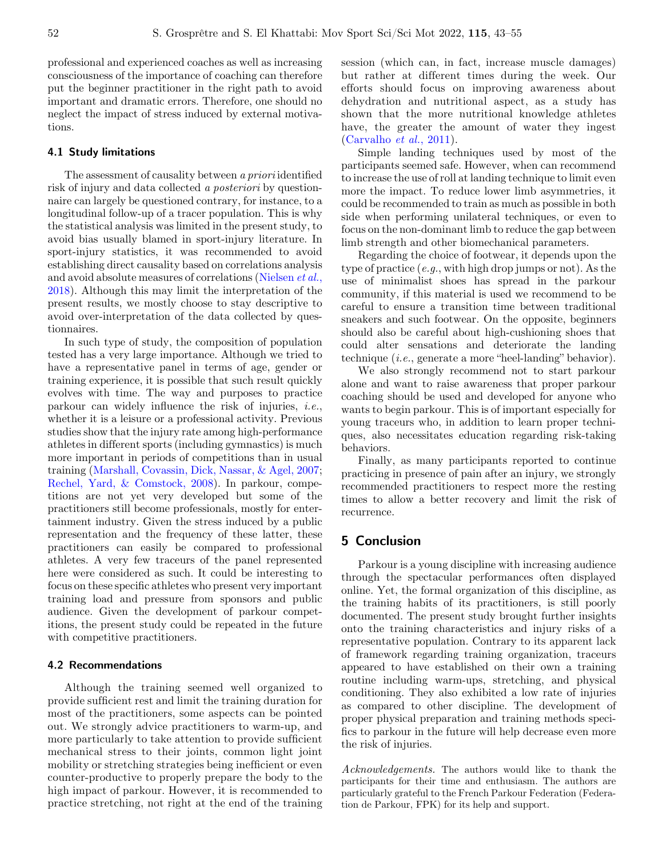professional and experienced coaches as well as increasing consciousness of the importance of coaching can therefore put the beginner practitioner in the right path to avoid important and dramatic errors. Therefore, one should no neglect the impact of stress induced by external motivations.

## 4.1 Study limitations

The assessment of causality between a priori identified risk of injury and data collected a posteriori by questionnaire can largely be questioned contrary, for instance, to a longitudinal follow-up of a tracer population. This is why the statistical analysis was limited in the present study, to avoid bias usually blamed in sport-injury literature. In sport-injury statistics, it was recommended to avoid establishing direct causality based on correlations analysis and avoid absolute measures of correlations [\(Nielsen](#page-11-0) et al., [2018](#page-11-0)). Although this may limit the interpretation of the present results, we mostly choose to stay descriptive to avoid over-interpretation of the data collected by questionnaires.

In such type of study, the composition of population tested has a very large importance. Although we tried to have a representative panel in terms of age, gender or training experience, it is possible that such result quickly evolves with time. The way and purposes to practice parkour can widely influence the risk of injuries, i.e., whether it is a leisure or a professional activity. Previous studies show that the injury rate among high-performance athletes in different sports (including gymnastics) is much more important in periods of competitions than in usual training [\(Marshall, Covassin, Dick, Nassar, & Agel, 2007;](#page-11-0) [Rechel, Yard, & Comstock, 2008](#page-11-0)). In parkour, competitions are not yet very developed but some of the practitioners still become professionals, mostly for entertainment industry. Given the stress induced by a public representation and the frequency of these latter, these practitioners can easily be compared to professional athletes. A very few traceurs of the panel represented here were considered as such. It could be interesting to focus on these specific athletes who present very important training load and pressure from sponsors and public audience. Given the development of parkour competitions, the present study could be repeated in the future with competitive practitioners.

#### 4.2 Recommendations

Although the training seemed well organized to provide sufficient rest and limit the training duration for most of the practitioners, some aspects can be pointed out. We strongly advice practitioners to warm-up, and more particularly to take attention to provide sufficient mechanical stress to their joints, common light joint mobility or stretching strategies being inefficient or even counter-productive to properly prepare the body to the high impact of parkour. However, it is recommended to practice stretching, not right at the end of the training session (which can, in fact, increase muscle damages) but rather at different times during the week. Our efforts should focus on improving awareness about dehydration and nutritional aspect, as a study has shown that the more nutritional knowledge athletes have, the greater the amount of water they ingest  $(Carvalho et al., 2011).$  $(Carvalho et al., 2011).$  $(Carvalho et al., 2011).$ 

Simple landing techniques used by most of the participants seemed safe. However, when can recommend to increase the use of roll at landing technique to limit even more the impact. To reduce lower limb asymmetries, it could be recommended to train as much as possible in both side when performing unilateral techniques, or even to focus on the non-dominant limb to reduce the gap between limb strength and other biomechanical parameters.

Regarding the choice of footwear, it depends upon the type of practice  $(e.g., with high drop jumps or not)$ . As the use of minimalist shoes has spread in the parkour community, if this material is used we recommend to be careful to ensure a transition time between traditional sneakers and such footwear. On the opposite, beginners should also be careful about high-cushioning shoes that could alter sensations and deteriorate the landing technique (i.e., generate a more "heel-landing" behavior).

We also strongly recommend not to start parkour alone and want to raise awareness that proper parkour coaching should be used and developed for anyone who wants to begin parkour. This is of important especially for young traceurs who, in addition to learn proper techniques, also necessitates education regarding risk-taking behaviors.

Finally, as many participants reported to continue practicing in presence of pain after an injury, we strongly recommended practitioners to respect more the resting times to allow a better recovery and limit the risk of recurrence.

# 5 Conclusion

Parkour is a young discipline with increasing audience through the spectacular performances often displayed online. Yet, the formal organization of this discipline, as the training habits of its practitioners, is still poorly documented. The present study brought further insights onto the training characteristics and injury risks of a representative population. Contrary to its apparent lack of framework regarding training organization, traceurs appeared to have established on their own a training routine including warm-ups, stretching, and physical conditioning. They also exhibited a low rate of injuries as compared to other discipline. The development of proper physical preparation and training methods specifics to parkour in the future will help decrease even more the risk of injuries.

Acknowledgements. The authors would like to thank the participants for their time and enthusiasm. The authors are particularly grateful to the French Parkour Federation (Federation de Parkour, FPK) for its help and support.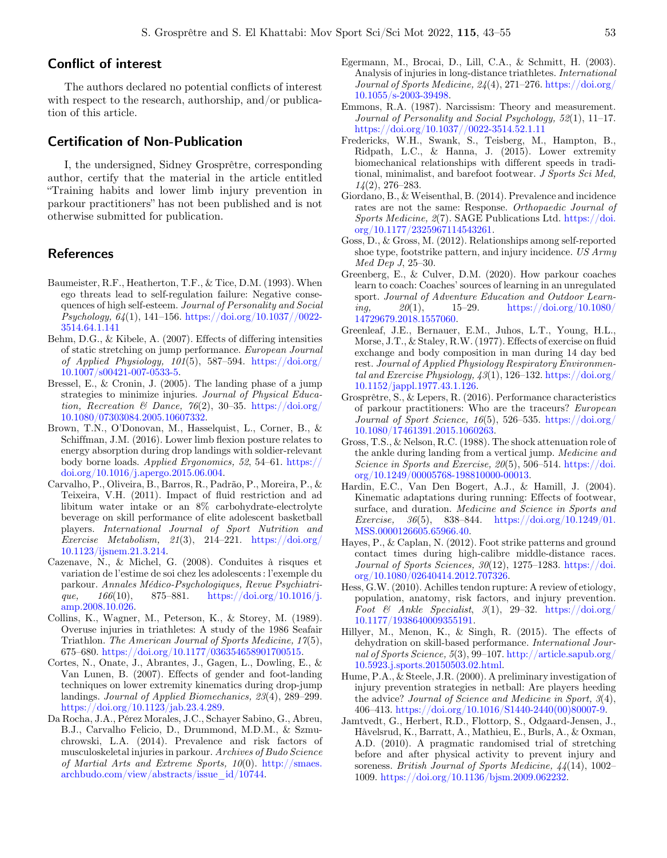# <span id="page-10-0"></span>Conflict of interest

The authors declared no potential conflicts of interest with respect to the research, authorship, and/or publication of this article.

# Certification of Non-Publication

I, the undersigned, Sidney Grosprêtre, corresponding author, certify that the material in the article entitled "Training habits and lower limb injury prevention in parkour practitioners" has not been published and is not otherwise submitted for publication.

# References

- Baumeister, R.F., Heatherton, T.F., & Tice, D.M. (1993). When ego threats lead to self-regulation failure: Negative consequences of high self-esteem. Journal of Personality and Social Psychology,  $64(1)$ , 141–156. [https://doi.org/10.1037//0022-](https://doi.org/10.1037//0022-3514.64.1.141) [3514.64.1.141](https://doi.org/10.1037//0022-3514.64.1.141)
- Behm, D.G., & Kibele, A. (2007). Effects of differing intensities of static stretching on jump performance. European Journal of Applied Physiology, 101(5), 587–594. [https://doi.org/](https://doi.org/10.1007/s00421-007-0533-5) [10.1007/s00421-007-0533-5](https://doi.org/10.1007/s00421-007-0533-5).
- Bressel, E., & Cronin, J. (2005). The landing phase of a jump strategies to minimize injuries. Journal of Physical Education, Recreation & Dance, 76(2), 30–35. [https://doi.org/](https://doi.org/10.1080/07303084.2005.10607332) [10.1080/07303084.2005.10607332](https://doi.org/10.1080/07303084.2005.10607332).
- Brown, T.N., O'Donovan, M., Hasselquist, L., Corner, B., & Schiffman, J.M. (2016). Lower limb flexion posture relates to energy absorption during drop landings with soldier-relevant body borne loads. Applied Ergonomics, 52, 54–61. [https://](https://doi.org/10.1016/j.apergo.2015.06.004) [doi.org/10.1016/j.apergo.2015.06.004.](https://doi.org/10.1016/j.apergo.2015.06.004)
- Carvalho, P., Oliveira, B., Barros, R., Padrão, P., Moreira, P., & Teixeira, V.H. (2011). Impact of fluid restriction and ad libitum water intake or an 8% carbohydrate-electrolyte beverage on skill performance of elite adolescent basketball players. International Journal of Sport Nutrition and Exercise Metabolism,  $21(3)$ ,  $214-221$ . [https://doi.org/](https://doi.org/10.1123/ijsnem.21.3.214) [10.1123/ijsnem.21.3.214.](https://doi.org/10.1123/ijsnem.21.3.214)
- Cazenave, N., & Michel, G. (2008). Conduites à risques et variation de l'estime de soi chez les adolescents : l'exemple du parkour. Annales Médico-Psychologiques, Revue Psychiatrique,  $166(10)$ , 875–881. [https://doi.org/10.1016/j.](https://doi.org/10.1016/j.amp.2008.10.026) [amp.2008.10.026](https://doi.org/10.1016/j.amp.2008.10.026).
- Collins, K., Wagner, M., Peterson, K., & Storey, M. (1989). Overuse injuries in triathletes: A study of the 1986 Seafair Triathlon. The American Journal of Sports Medicine, 17(5), 675–680. [https://doi.org/10.1177/036354658901700515.](https://doi.org/10.1177/036354658901700515)
- Cortes, N., Onate, J., Abrantes, J., Gagen, L., Dowling, E., & Van Lunen, B. (2007). Effects of gender and foot-landing techniques on lower extremity kinematics during drop-jump landings. Journal of Applied Biomechanics, 23(4), 289–299. <https://doi.org/10.1123/jab.23.4.289>.
- Da Rocha, J.A., Pérez Morales, J.C., Schayer Sabino, G., Abreu, B.J., Carvalho Felicio, D., Drummond, M.D.M., & Szmuchrowski, L.A. (2014). Prevalence and risk factors of musculoskeletal injuries in parkour. Archives of Budo Science of Martial Arts and Extreme Sports, 10(0). [http://smaes.](http://smaes.archbudo.com/view/abstracts/issue_id/10744) [archbudo.com/view/abstracts/issue\\_id/10744.](http://smaes.archbudo.com/view/abstracts/issue_id/10744)
- Egermann, M., Brocai, D., Lill, C.A., & Schmitt, H. (2003). Analysis of injuries in long-distance triathletes. International Journal of Sports Medicine,  $24(4)$ , 271–276. [https://doi.org/](https://doi.org/10.1055/s-2003-39498) [10.1055/s-2003-39498](https://doi.org/10.1055/s-2003-39498).
- Emmons, R.A. (1987). Narcissism: Theory and measurement. Journal of Personality and Social Psychology, 52(1), 11–17. <https://doi.org/10.1037//0022-3514.52.1.11>
- Fredericks, W.H., Swank, S., Teisberg, M., Hampton, B., Ridpath, L.C., & Hanna, J. (2015). Lower extremity biomechanical relationships with different speeds in traditional, minimalist, and barefoot footwear. J Sports Sci Med, 14(2), 276–283.
- Giordano, B., & Weisenthal, B. (2014). Prevalence and incidence rates are not the same: Response. Orthopaedic Journal of Sports Medicine, 2(7). SAGE Publications Ltd. [https://doi.](https://doi.org/10.1177/2325967114543261) [org/10.1177/2325967114543261](https://doi.org/10.1177/2325967114543261).
- Goss, D., & Gross, M. (2012). Relationships among self-reported shoe type, footstrike pattern, and injury incidence. US Army Med Dep J, 25–30.
- Greenberg, E., & Culver, D.M. (2020). How parkour coaches learn to coach: Coaches' sources of learning in an unregulated sport. Journal of Adventure Education and Outdoor Learn*ing,*  $20(1)$ ,  $15-29$ . [https://doi.org/10.1080/](https://doi.org/10.1080/14729679.2018.1557060) [14729679.2018.1557060.](https://doi.org/10.1080/14729679.2018.1557060)
- Greenleaf, J.E., Bernauer, E.M., Juhos, L.T., Young, H.L., Morse, J.T., & Staley, R.W. (1977). Effects of exercise on fluid exchange and body composition in man during 14 day bed rest. Journal of Applied Physiology Respiratory Environmental and Exercise Physiology,  $43(1)$ , 126–132. [https://doi.org/](https://doi.org/10.1152/jappl.1977.43.1.126) [10.1152/jappl.1977.43.1.126.](https://doi.org/10.1152/jappl.1977.43.1.126)
- Grosprêtre, S., & Lepers, R. (2016). Performance characteristics of parkour practitioners: Who are the traceurs? European Journal of Sport Science, 16(5), 526–535. [https://doi.org/](https://doi.org/10.1080/17461391.2015.1060263) [10.1080/17461391.2015.1060263.](https://doi.org/10.1080/17461391.2015.1060263)
- Gross, T.S., & Nelson, R.C. (1988). The shock attenuation role of the ankle during landing from a vertical jump. Medicine and Science in Sports and Exercise, 20(5), 506-514. [https://doi.](https://doi.org/10.1249/00005768-198810000-00013) [org/10.1249/00005768-198810000-00013](https://doi.org/10.1249/00005768-198810000-00013).
- Hardin, E.C., Van Den Bogert, A.J., & Hamill, J. (2004). Kinematic adaptations during running: Effects of footwear, surface, and duration. Medicine and Science in Sports and Exercise,  $36(5)$ ,  $838-844$ . [https://doi.org/10.1249/01.](https://doi.org/10.1249/01.MSS.0000126605.65966.40) [MSS.0000126605.65966.40.](https://doi.org/10.1249/01.MSS.0000126605.65966.40)
- Hayes, P., & Caplan, N. (2012). Foot strike patterns and ground contact times during high-calibre middle-distance races. Journal of Sports Sciences,  $30(12)$ , 1275–1283. [https://doi.](https://doi.org/10.1080/02640414.2012.707326) [org/10.1080/02640414.2012.707326](https://doi.org/10.1080/02640414.2012.707326).
- Hess, G.W. (2010). Achilles tendon rupture: A review of etiology, population, anatomy, risk factors, and injury prevention. Foot & Ankle Specialist, 3(1), 29-32. [https://doi.org/](https://doi.org/10.1177/1938640009355191) [10.1177/1938640009355191](https://doi.org/10.1177/1938640009355191).
- Hillyer, M., Menon, K., & Singh, R. (2015). The effects of dehydration on skill-based performance. International Journal of Sports Science, 5(3), 99–107. [http://article.sapub.org/](http://article.sapub.org/10.5923.j.sports.20150503.02.html) [10.5923.j.sports.20150503.02.html.](http://article.sapub.org/10.5923.j.sports.20150503.02.html)
- Hume, P.A., & Steele, J.R. (2000). A preliminary investigation of injury prevention strategies in netball: Are players heeding the advice? Journal of Science and Medicine in Sport, 3(4), 406–413. [https://doi.org/10.1016/S1440-2440\(00\)80007-9.](https://doi.org/10.1016/S1440-2440(00)80007-9)
- Jamtvedt, G., Herbert, R.D., Flottorp, S., Odgaard-Jensen, J., Håvelsrud, K., Barratt, A., Mathieu, E., Burls, A., & Oxman, A.D. (2010). A pragmatic randomised trial of stretching before and after physical activity to prevent injury and soreness. British Journal of Sports Medicine, 44(14), 1002– 1009. <https://doi.org/10.1136/bjsm.2009.062232>.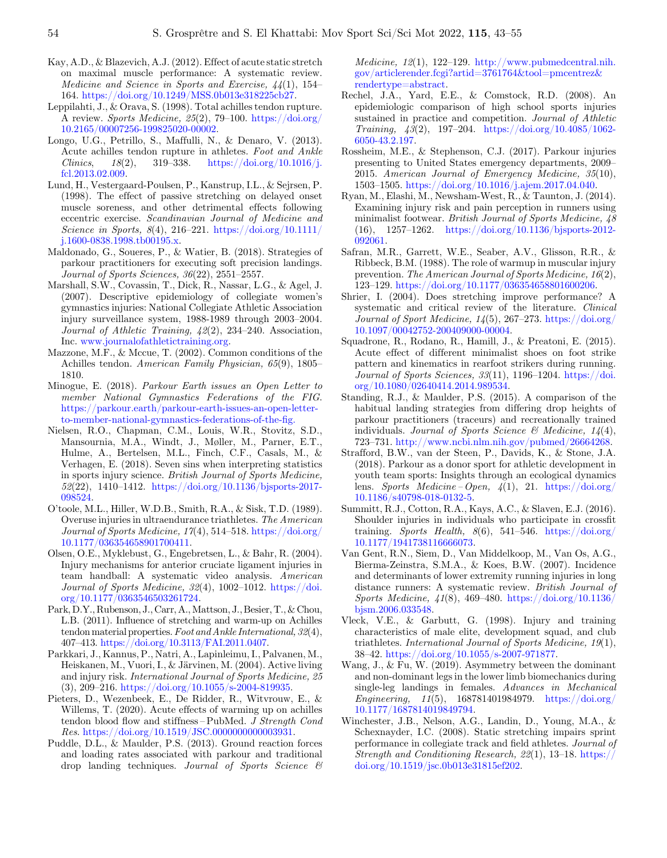- <span id="page-11-0"></span>Kay, A.D., & Blazevich, A.J. (2012). Effect of acute static stretch on maximal muscle performance: A systematic review. Medicine and Science in Sports and Exercise, 44(1), 154– 164. [https://doi.org/10.1249/MSS.0b013e318225cb27.](https://doi.org/10.1249/MSS.0b013e318225cb27)
- Leppilahti, J., & Orava, S. (1998). Total achilles tendon rupture. A review. Sports Medicine, 25(2), 79–100. [https://doi.org/](https://doi.org/10.2165/00007256-199825020-00002) [10.2165/00007256-199825020-00002.](https://doi.org/10.2165/00007256-199825020-00002)
- Longo, U.G., Petrillo, S., Maffulli, N., & Denaro, V. (2013). Acute achilles tendon rupture in athletes. Foot and Ankle Clinics,  $18(2)$ ,  $319-338$ . [https://doi.org/10.1016/j.](https://doi.org/10.1016/j.fcl.2013.02.009) [fcl.2013.02.009.](https://doi.org/10.1016/j.fcl.2013.02.009)
- Lund, H., Vestergaard-Poulsen, P., Kanstrup, I.L., & Sejrsen, P. (1998). The effect of passive stretching on delayed onset muscle soreness, and other detrimental effects following eccentric exercise. Scandinavian Journal of Medicine and Science in Sports, 8(4), 216–221. [https://doi.org/10.1111/](https://doi.org/10.1111/j.1600-0838.1998.tb00195.x) [j.1600-0838.1998.tb00195.x.](https://doi.org/10.1111/j.1600-0838.1998.tb00195.x)
- Maldonado, G., Soueres, P., & Watier, B. (2018). Strategies of parkour practitioners for executing soft precision landings. Journal of Sports Sciences, 36(22), 2551–2557.
- Marshall, S.W., Covassin, T., Dick, R., Nassar, L.G., & Agel, J. (2007). Descriptive epidemiology of collegiate women's gymnastics injuries: National Collegiate Athletic Association injury surveillance system, 1988-1989 through 2003–2004. Journal of Athletic Training, 42(2), 234–240. Association, Inc. [www.journalofathletictraining.org.](http://www.journalofathletictraining.org)
- Mazzone, M.F., & Mccue, T. (2002). Common conditions of the Achilles tendon. American Family Physician, 65(9), 1805– 1810.
- Minogue, E. (2018). Parkour Earth issues an Open Letter to member National Gymnastics Federations of the FIG. [https://parkour.earth/parkour-earth-issues-an-open-letter](https://parkour.earth/parkour-earth-issues-an-open-letter-to-member-national-gymnastics-federations-of-the-fig.)[to-member-national-gymnastics-federations-of-the-](https://parkour.earth/parkour-earth-issues-an-open-letter-to-member-national-gymnastics-federations-of-the-fig.)fig.
- Nielsen, R.O., Chapman, C.M., Louis, W.R., Stovitz, S.D., Mansournia, M.A., Windt, J., Møller, M., Parner, E.T., Hulme, A., Bertelsen, M.L., Finch, C.F., Casals, M., & Verhagen, E. (2018). Seven sins when interpreting statistics in sports injury science. British Journal of Sports Medicine, 52(22), 1410–1412. [https://doi.org/10.1136/bjsports-2017-](https://doi.org/10.1136/bjsports-2017-098524) [098524](https://doi.org/10.1136/bjsports-2017-098524).
- O'toole, M.L., Hiller, W.D.B., Smith, R.A., & Sisk, T.D. (1989). Overuse injuries in ultraendurance triathletes. The American Journal of Sports Medicine,  $17(4)$ , 514–518. [https://doi.org/](https://doi.org/10.1177/036354658901700411) [10.1177/036354658901700411](https://doi.org/10.1177/036354658901700411).
- Olsen, O.E., Myklebust, G., Engebretsen, L., & Bahr, R. (2004). Injury mechanisms for anterior cruciate ligament injuries in team handball: A systematic video analysis. American Journal of Sports Medicine,  $32(4)$ , 1002-1012. [https://doi.](https://doi.org/10.1177/0363546503261724) [org/10.1177/0363546503261724](https://doi.org/10.1177/0363546503261724).
- Park, D.Y., Rubenson, J., Carr, A., Mattson, J., Besier, T., & Chou, L.B. (2011). Influence of stretching and warm-up on Achilles tendon material properties. Foot and Ankle International,  $32(4)$ , 407–413. [https://doi.org/10.3113/FAI.2011.0407.](https://doi.org/10.3113/FAI.2011.0407)
- Parkkari, J., Kannus, P., Natri, A., Lapinleimu, I., Palvanen, M., Heiskanen, M., Vuori, I., & Järvinen, M. (2004). Active living and injury risk. International Journal of Sports Medicine, 25 (3), 209–216. <https://doi.org/10.1055/s-2004-819935>.
- Pieters, D., Wezenbeek, E., De Ridder, R., Witvrouw, E., & Willems, T. (2020). Acute effects of warming up on achilles tendon blood flow and stiffness –PubMed. J Strength Cond Res. <https://doi.org/10.1519/JSC.0000000000003931>.
- Puddle, D.L., & Maulder, P.S. (2013). Ground reaction forces and loading rates associated with parkour and traditional drop landing techniques. Journal of Sports Science &

Medicine,  $12(1)$ , 122–129. [http://www.pubmedcentral.nih.](http://www.pubmedcentral.nih.gov/articlerender.fcgi?artid=3761764&tool=pmcentrez&rendertype=abstract) [gov/articlerender.fcgi?artid=3761764&tool=pmcentrez&](http://www.pubmedcentral.nih.gov/articlerender.fcgi?artid=3761764&tool=pmcentrez&rendertype=abstract) [rendertype=abstract.](http://www.pubmedcentral.nih.gov/articlerender.fcgi?artid=3761764&tool=pmcentrez&rendertype=abstract)

- Rechel, J.A., Yard, E.E., & Comstock, R.D. (2008). An epidemiologic comparison of high school sports injuries sustained in practice and competition. Journal of Athletic Training,  $\frac{43(2)}{197-204}$ . [https://doi.org/10.4085/1062-](https://doi.org/10.4085/1062-6050-43.2.197) [6050-43.2.197](https://doi.org/10.4085/1062-6050-43.2.197).
- Rossheim, M.E., & Stephenson, C.J. (2017). Parkour injuries presenting to United States emergency departments, 2009– 2015. American Journal of Emergency Medicine, 35(10), 1503–1505. <https://doi.org/10.1016/j.ajem.2017.04.040>.
- Ryan, M., Elashi, M., Newsham-West, R., & Taunton, J. (2014). Examining injury risk and pain perception in runners using minimalist footwear. British Journal of Sports Medicine, 48 (16), 1257–1262. [https://doi.org/10.1136/bjsports-2012-](https://doi.org/10.1136/bjsports-2012-092061) [092061.](https://doi.org/10.1136/bjsports-2012-092061)
- Safran, M.R., Garrett, W.E., Seaber, A.V., Glisson, R.R., & Ribbeck, B.M. (1988). The role of warmup in muscular injury prevention. The American Journal of Sports Medicine, 16(2), 123–129. <https://doi.org/10.1177/036354658801600206>.
- Shrier, I. (2004). Does stretching improve performance? A systematic and critical review of the literature. Clinical Journal of Sport Medicine,  $14(5)$ , 267–273. [https://doi.org/](https://doi.org/10.1097/00042752-200409000-00004) [10.1097/00042752-200409000-00004](https://doi.org/10.1097/00042752-200409000-00004).
- Squadrone, R., Rodano, R., Hamill, J., & Preatoni, E. (2015). Acute effect of different minimalist shoes on foot strike pattern and kinematics in rearfoot strikers during running. Journal of Sports Sciences,  $33(11)$ ,  $1196-1204$ . [https://doi.](https://doi.org/10.1080/02640414.2014.989534) [org/10.1080/02640414.2014.989534](https://doi.org/10.1080/02640414.2014.989534).
- Standing, R.J., & Maulder, P.S. (2015). A comparison of the habitual landing strategies from differing drop heights of parkour practitioners (traceurs) and recreationally trained individuals. Journal of Sports Science & Medicine,  $14(4)$ , 723–731. [http://www.ncbi.nlm.nih.gov/pubmed/26664268.](http://www.ncbi.nlm.nih.gov/pubmed/26664268)
- Strafford, B.W., van der Steen, P., Davids, K., & Stone, J.A. (2018). Parkour as a donor sport for athletic development in youth team sports: Insights through an ecological dynamics lens. Sports Medicine – Open,  $4(1)$ , 21. [https://doi.org/](https://doi.org/10.1186/s40798-018-0132-5) [10.1186/s40798-018-0132-5](https://doi.org/10.1186/s40798-018-0132-5).
- Summitt, R.J., Cotton, R.A., Kays, A.C., & Slaven, E.J. (2016). Shoulder injuries in individuals who participate in crossfit training. Sports Health,  $8(6)$ , 541–546. [https://doi.org/](https://doi.org/10.1177/1941738116666073) [10.1177/1941738116666073](https://doi.org/10.1177/1941738116666073).
- Van Gent, R.N., Siem, D., Van Middelkoop, M., Van Os, A.G., Bierma-Zeinstra, S.M.A., & Koes, B.W. (2007). Incidence and determinants of lower extremity running injuries in long distance runners: A systematic review. British Journal of Sports Medicine, 41(8), 469–480. [https://doi.org/10.1136/](https://doi.org/10.1136/bjsm.2006.033548) [bjsm.2006.033548](https://doi.org/10.1136/bjsm.2006.033548).
- Vleck, V.E., & Garbutt, G. (1998). Injury and training characteristics of male elite, development squad, and club triathletes. International Journal of Sports Medicine, 19(1), 38–42. [https://doi.org/10.1055/s-2007-971877.](https://doi.org/10.1055/s-2007-971877)
- Wang, J., & Fu, W. (2019). Asymmetry between the dominant and non-dominant legs in the lower limb biomechanics during single-leg landings in females. Advances in Mechanical Engineering,  $11(5)$ ,  $168781401984979$ . [https://doi.org/](https://doi.org/10.1177/1687814019849794) [10.1177/1687814019849794](https://doi.org/10.1177/1687814019849794).
- Winchester, J.B., Nelson, A.G., Landin, D., Young, M.A., & Schexnayder, I.C. (2008). Static stretching impairs sprint performance in collegiate track and field athletes. Journal of Strength and Conditioning Research, 22(1), 13–18. [https://](https://doi.org/10.1519/jsc.0b013e31815ef202) [doi.org/10.1519/jsc.0b013e31815ef202](https://doi.org/10.1519/jsc.0b013e31815ef202).